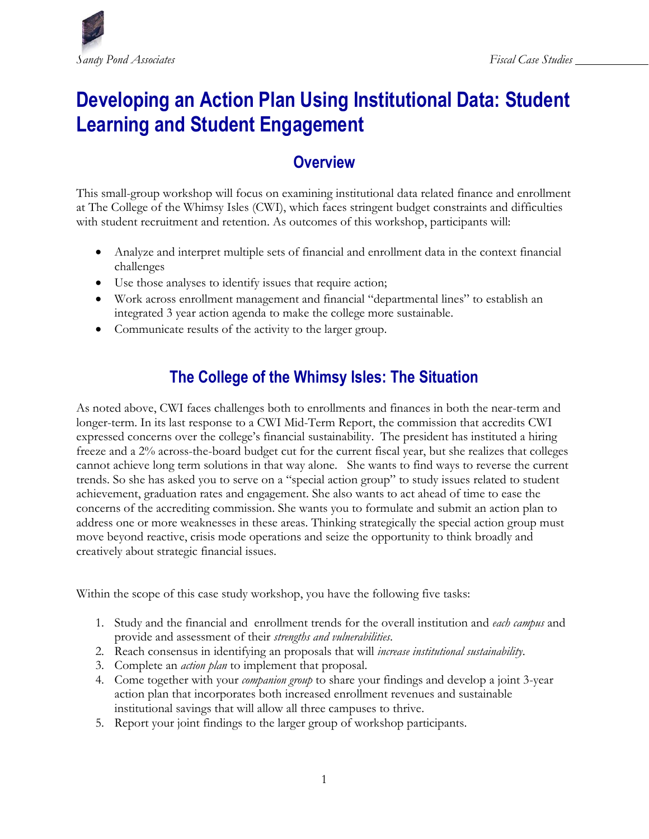

# **Developing an Action Plan Using Institutional Data: Student Learning and Student Engagement**

# **Overview**

This small-group workshop will focus on examining institutional data related finance and enrollment at The College of the Whimsy Isles (CWI), which faces stringent budget constraints and difficulties with student recruitment and retention. As outcomes of this workshop, participants will:

- Analyze and interpret multiple sets of financial and enrollment data in the context financial challenges
- Use those analyses to identify issues that require action;
- Work across enrollment management and financial "departmental lines" to establish an integrated 3 year action agenda to make the college more sustainable.
- Communicate results of the activity to the larger group.

# **The College of the Whimsy Isles: The Situation**

As noted above, CWI faces challenges both to enrollments and finances in both the near-term and longer-term. In its last response to a CWI Mid-Term Report, the commission that accredits CWI expressed concerns over the college's financial sustainability. The president has instituted a hiring freeze and a 2% across-the-board budget cut for the current fiscal year, but she realizes that colleges cannot achieve long term solutions in that way alone. She wants to find ways to reverse the current trends. So she has asked you to serve on a "special action group" to study issues related to student achievement, graduation rates and engagement. She also wants to act ahead of time to ease the concerns of the accrediting commission. She wants you to formulate and submit an action plan to address one or more weaknesses in these areas. Thinking strategically the special action group must move beyond reactive, crisis mode operations and seize the opportunity to think broadly and creatively about strategic financial issues.

Within the scope of this case study workshop, you have the following five tasks:

- 1. Study and the financial and enrollment trends for the overall institution and *each campus* and provide and assessment of their *strengths and vulnerabilities*.
- 2. Reach consensus in identifying an proposals that will *increase institutional sustainability*.
- 3. Complete an *action plan* to implement that proposal.
- 4. Come together with your *companion group* to share your findings and develop a joint 3-year action plan that incorporates both increased enrollment revenues and sustainable institutional savings that will allow all three campuses to thrive.
- 5. Report your joint findings to the larger group of workshop participants.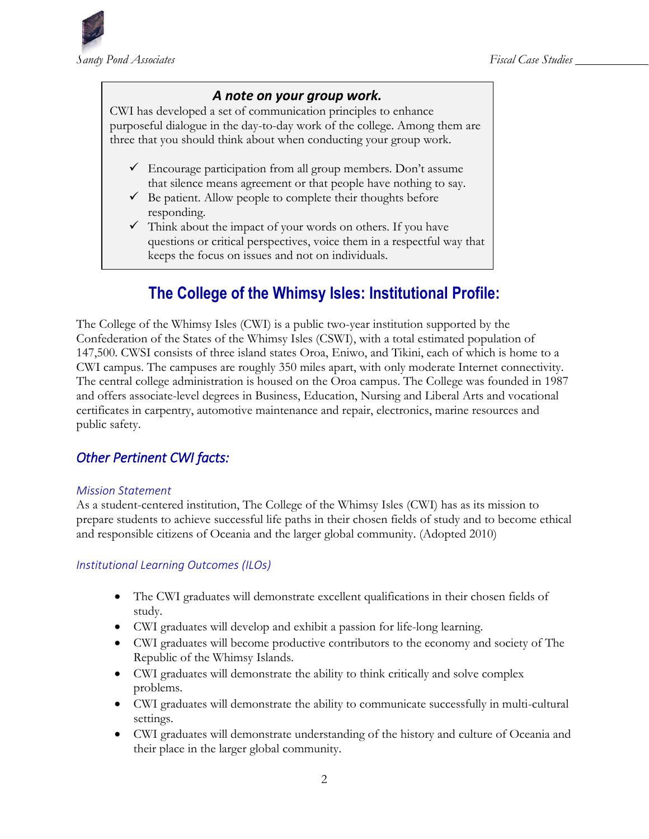

### *A note on your group work.*

CWI has developed a set of communication principles to enhance purposeful dialogue in the day-to-day work of the college. Among them are three that you should think about when conducting your group work.

- $\checkmark$  Encourage participation from all group members. Don't assume that silence means agreement or that people have nothing to say.
- $\checkmark$  Be patient. Allow people to complete their thoughts before responding.
- $\checkmark$  Think about the impact of your words on others. If you have questions or critical perspectives, voice them in a respectful way that keeps the focus on issues and not on individuals.

# **The College of the Whimsy Isles: Institutional Profile:**

The College of the Whimsy Isles (CWI) is a public two-year institution supported by the Confederation of the States of the Whimsy Isles (CSWI), with a total estimated population of 147,500. CWSI consists of three island states Oroa, Eniwo, and Tikini, each of which is home to a CWI campus. The campuses are roughly 350 miles apart, with only moderate Internet connectivity. The central college administration is housed on the Oroa campus. The College was founded in 1987 and offers associate-level degrees in Business, Education, Nursing and Liberal Arts and vocational certificates in carpentry, automotive maintenance and repair, electronics, marine resources and public safety.

### *Other Pertinent CWI facts:*

#### *Mission Statement*

As a student-centered institution, The College of the Whimsy Isles (CWI) has as its mission to prepare students to achieve successful life paths in their chosen fields of study and to become ethical and responsible citizens of Oceania and the larger global community. (Adopted 2010)

#### *Institutional Learning Outcomes (ILOs)*

- The CWI graduates will demonstrate excellent qualifications in their chosen fields of study.
- CWI graduates will develop and exhibit a passion for life-long learning.
- CWI graduates will become productive contributors to the economy and society of The Republic of the Whimsy Islands.
- CWI graduates will demonstrate the ability to think critically and solve complex problems.
- CWI graduates will demonstrate the ability to communicate successfully in multi-cultural settings.
- CWI graduates will demonstrate understanding of the history and culture of Oceania and their place in the larger global community.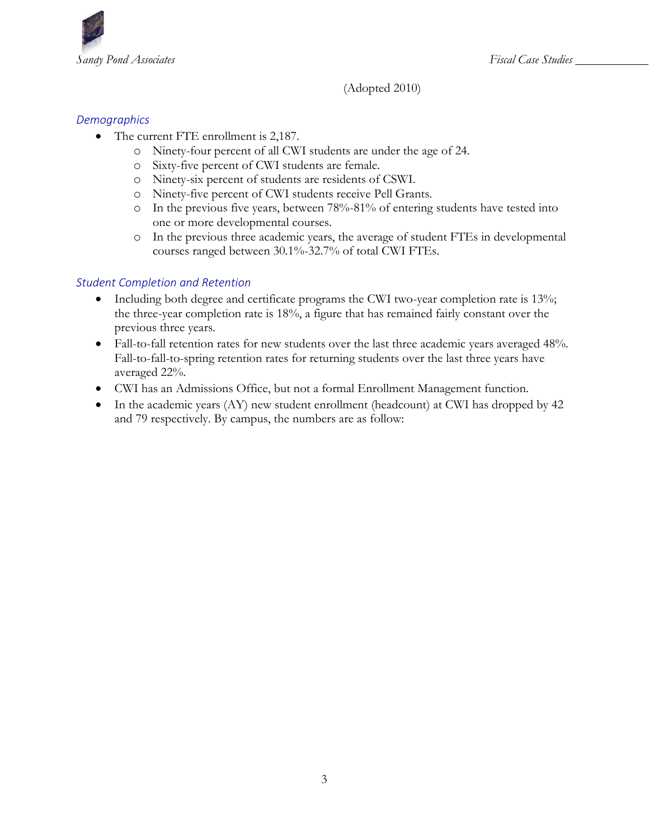

(Adopted 2010)

#### *Demographics*

- The current FTE enrollment is 2,187.
	- o Ninety-four percent of all CWI students are under the age of 24.
	- o Sixty-five percent of CWI students are female.
	- o Ninety-six percent of students are residents of CSWI.
	- o Ninety-five percent of CWI students receive Pell Grants.
	- o In the previous five years, between 78%-81% of entering students have tested into one or more developmental courses.
	- o In the previous three academic years, the average of student FTEs in developmental courses ranged between 30.1%-32.7% of total CWI FTEs.

#### *Student Completion and Retention*

- Including both degree and certificate programs the CWI two-year completion rate is 13%; the three-year completion rate is 18%, a figure that has remained fairly constant over the previous three years.
- Fall-to-fall retention rates for new students over the last three academic years averaged 48%. Fall-to-fall-to-spring retention rates for returning students over the last three years have averaged 22%.
- CWI has an Admissions Office, but not a formal Enrollment Management function.
- In the academic years (AY) new student enrollment (headcount) at CWI has dropped by 42 and 79 respectively. By campus, the numbers are as follow: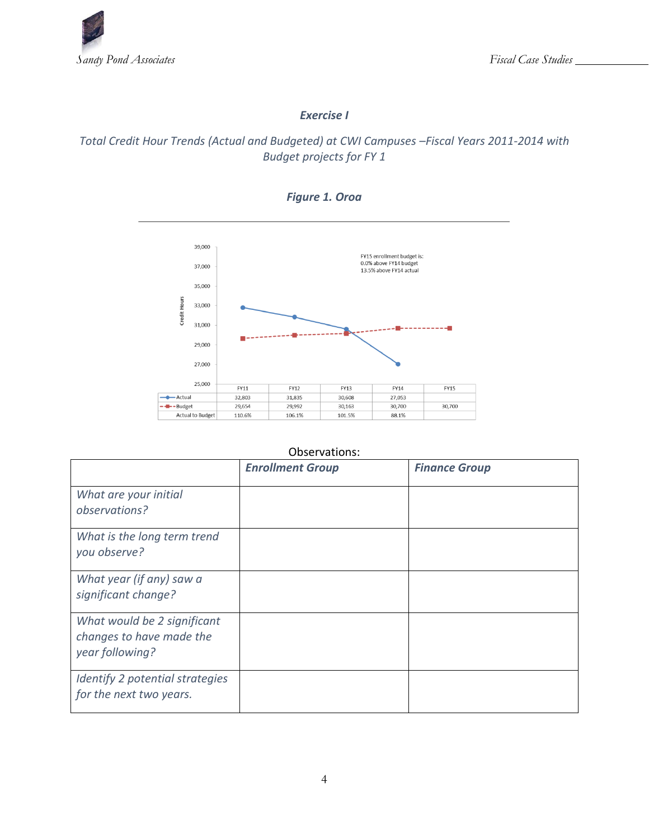

#### *Exercise I*

### *Total Credit Hour Trends (Actual and Budgeted) at CWI Campuses –Fiscal Years 2011-2014 with Budget projects for FY 1*



#### *Figure 1. Oroa*

#### Observations:

|                                                                            | <b>Enrollment Group</b> | <b>Finance Group</b> |
|----------------------------------------------------------------------------|-------------------------|----------------------|
| What are your initial<br>observations?                                     |                         |                      |
| What is the long term trend<br>you observe?                                |                         |                      |
| What year (if any) saw a<br>significant change?                            |                         |                      |
| What would be 2 significant<br>changes to have made the<br>year following? |                         |                      |
| Identify 2 potential strategies<br>for the next two years.                 |                         |                      |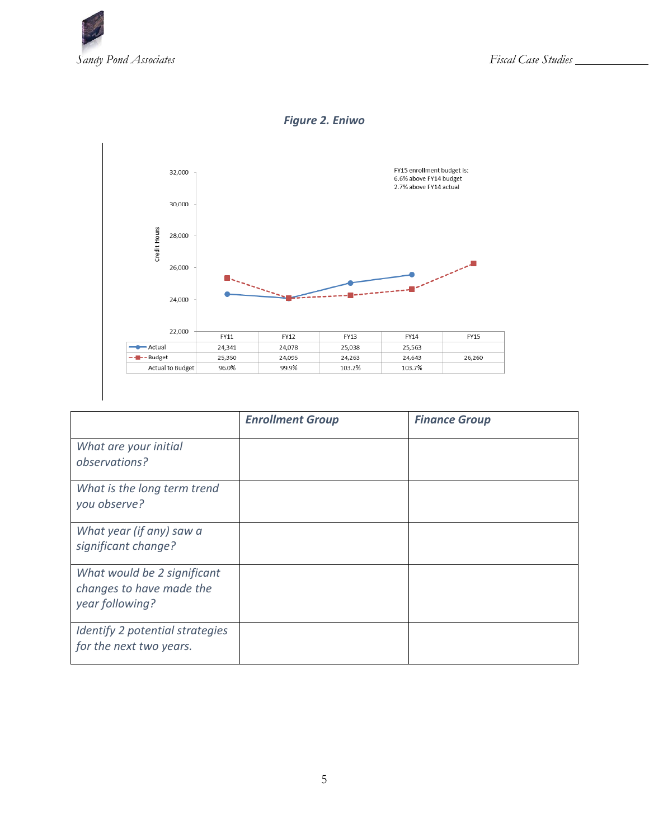

### *Figure 2. Eniwo*



|                                                                            | <b>Enrollment Group</b> | <b>Finance Group</b> |
|----------------------------------------------------------------------------|-------------------------|----------------------|
| What are your initial<br>observations?                                     |                         |                      |
| What is the long term trend<br>you observe?                                |                         |                      |
| What year (if any) saw a<br>significant change?                            |                         |                      |
| What would be 2 significant<br>changes to have made the<br>year following? |                         |                      |
| Identify 2 potential strategies<br>for the next two years.                 |                         |                      |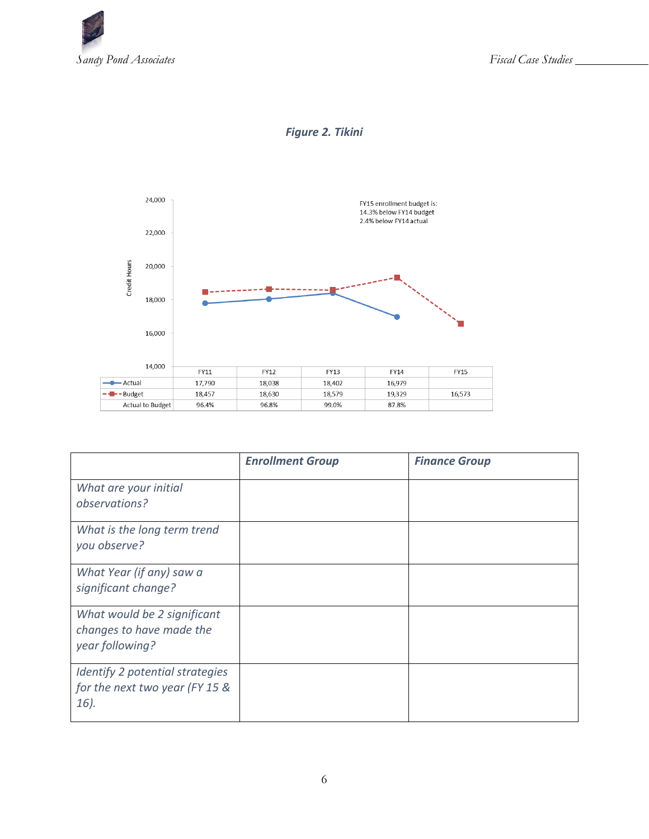





|                                                                            | <b>Enrollment Group</b> | <b>Finance Group</b> |
|----------------------------------------------------------------------------|-------------------------|----------------------|
| What are your initial<br>observations?                                     |                         |                      |
| What is the long term trend<br>you observe?                                |                         |                      |
| What Year (if any) saw a<br>significant change?                            |                         |                      |
| What would be 2 significant<br>changes to have made the<br>year following? |                         |                      |
| Identify 2 potential strategies<br>for the next two year (FY 15 &<br>16).  |                         |                      |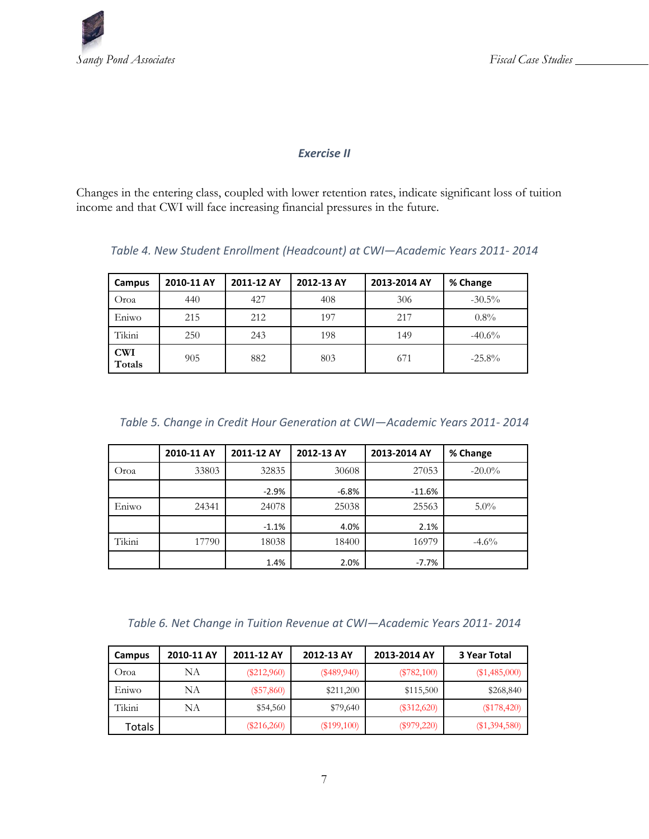

#### *Exercise II*

Changes in the entering class, coupled with lower retention rates, indicate significant loss of tuition income and that CWI will face increasing financial pressures in the future.

| Campus               | 2010-11 AY | 2011-12 AY | 2012-13 AY | 2013-2014 AY | % Change  |
|----------------------|------------|------------|------------|--------------|-----------|
| Oroa                 | 440        | 427        | 408        | 306          | $-30.5\%$ |
| Eniwo                | 215        | 212        | 197        | 217          | $0.8\%$   |
| Tikini               | 250        | 243        | 198        | 149          | $-40.6%$  |
| <b>CWI</b><br>Totals | 905        | 882        | 803        | 671          | $-25.8%$  |

*Table 4. New Student Enrollment (Headcount) at CWI—Academic Years 2011- 2014*

*Table 5. Change in Credit Hour Generation at CWI—Academic Years 2011- 2014*

|        | 2010-11 AY | 2011-12 AY | 2012-13 AY | 2013-2014 AY | % Change  |
|--------|------------|------------|------------|--------------|-----------|
| Oroa   | 33803      | 32835      | 30608      | 27053        | $-20.0\%$ |
|        |            | $-2.9%$    | $-6.8%$    | $-11.6%$     |           |
| Eniwo  | 24341      | 24078      | 25038      | 25563        | $5.0\%$   |
|        |            | $-1.1%$    | 4.0%       | 2.1%         |           |
| Tikini | 17790      | 18038      | 18400      | 16979        | $-4.6\%$  |
|        |            | 1.4%       | 2.0%       | -7.7%        |           |

*Table 6. Net Change in Tuition Revenue at CWI—Academic Years 2011- 2014*

| Campus | 2010-11 AY | 2011-12 AY    | 2012-13 AY    | 2013-2014 AY  | 3 Year Total    |
|--------|------------|---------------|---------------|---------------|-----------------|
| Oroa   | NΑ         | $(\$212,960)$ | $(\$489,940)$ | $(\$782,100)$ | $(\$1,485,000)$ |
| Eniwo  | NA         | $(\$57,860)$  | \$211,200     | \$115,500     | \$268,840       |
| Tikini | NA         | \$54,560      | \$79,640      | $(\$312,620)$ | (\$178,420)     |
| Totals |            | $(\$216,260)$ | $(\$199,100)$ | $(\$979,220)$ | $(\$1,394,580)$ |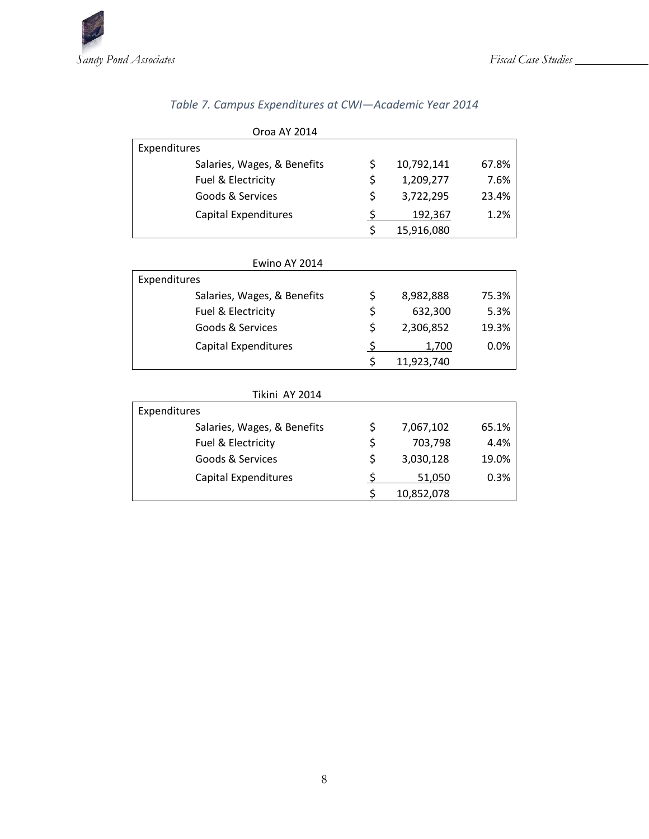

|                             | Oroa AY 2014   |               |            |       |
|-----------------------------|----------------|---------------|------------|-------|
| Expenditures                |                |               |            |       |
| Salaries, Wages, & Benefits |                | \$            | 10,792,141 | 67.8% |
| Fuel & Electricity          |                | \$            | 1,209,277  | 7.6%  |
| Goods & Services            |                | \$            | 3,722,295  | 23.4% |
| <b>Capital Expenditures</b> |                | $\frac{1}{2}$ | 192,367    | 1.2%  |
|                             |                | \$            | 15,916,080 |       |
|                             |                |               |            |       |
|                             | Ewino AY 2014  |               |            |       |
| Expenditures                |                |               |            |       |
| Salaries, Wages, & Benefits |                | \$            | 8,982,888  | 75.3% |
| Fuel & Electricity          |                | \$            | 632,300    | 5.3%  |
| Goods & Services            |                | \$            | 2,306,852  | 19.3% |
| Capital Expenditures        |                | $\frac{1}{2}$ | 1,700      | 0.0%  |
|                             |                | \$            | 11,923,740 |       |
|                             | Tikini AY 2014 |               |            |       |
| Expenditures                |                |               |            |       |
| Salaries, Wages, & Benefits |                | \$            | 7,067,102  | 65.1% |
| Fuel & Electricity          |                | \$            | 703,798    | 4.4%  |
| Goods & Services            |                | \$            | 3,030,128  | 19.0% |
| <b>Capital Expenditures</b> |                | <u>ځ</u>      | 51,050     | 0.3%  |
|                             |                | \$            | 10,852,078 |       |

## *Table 7. Campus Expenditures at CWI—Academic Year 2014*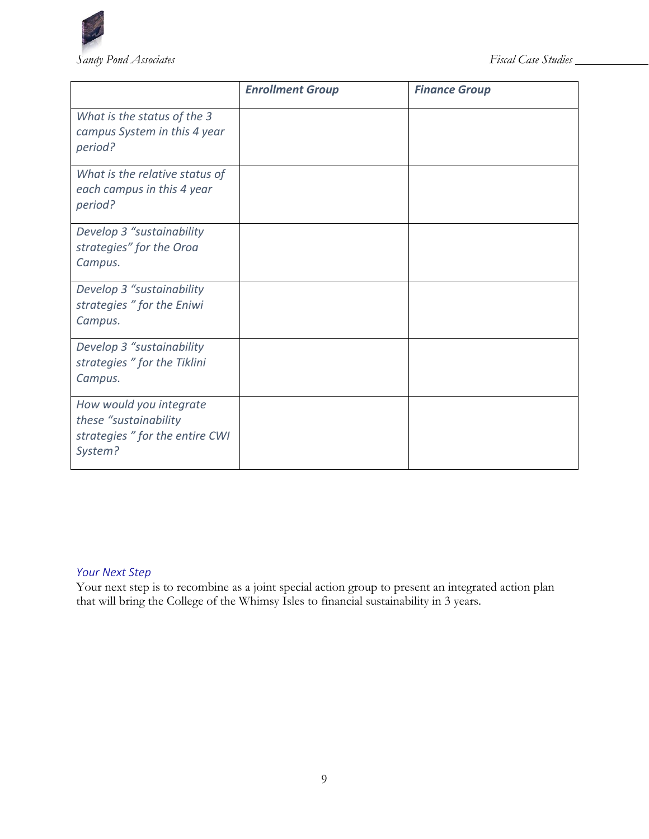

|                                                                                                | <b>Enrollment Group</b> | <b>Finance Group</b> |
|------------------------------------------------------------------------------------------------|-------------------------|----------------------|
| What is the status of the 3<br>campus System in this 4 year<br>period?                         |                         |                      |
| What is the relative status of<br>each campus in this 4 year<br>period?                        |                         |                      |
| Develop 3 "sustainability<br>strategies" for the Oroa<br>Campus.                               |                         |                      |
| Develop 3 "sustainability<br>strategies " for the Eniwi<br>Campus.                             |                         |                      |
| Develop 3 "sustainability<br>strategies " for the Tiklini<br>Campus.                           |                         |                      |
| How would you integrate<br>these "sustainability<br>strategies " for the entire CWI<br>System? |                         |                      |

### *Your Next Step*

Your next step is to recombine as a joint special action group to present an integrated action plan that will bring the College of the Whimsy Isles to financial sustainability in 3 years.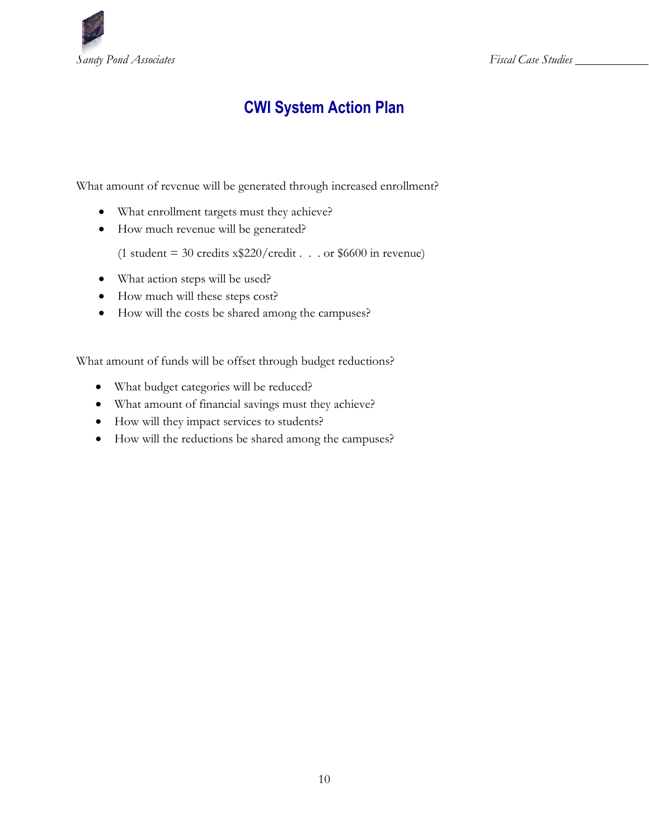

# **CWI System Action Plan**

What amount of revenue will be generated through increased enrollment?

- What enrollment targets must they achieve?
- How much revenue will be generated?

(1 student = 30 credits  $x$220/credit...$  or \$6600 in revenue)

- What action steps will be used?
- How much will these steps cost?
- How will the costs be shared among the campuses?

What amount of funds will be offset through budget reductions?

- What budget categories will be reduced?
- What amount of financial savings must they achieve?
- How will they impact services to students?
- How will the reductions be shared among the campuses?